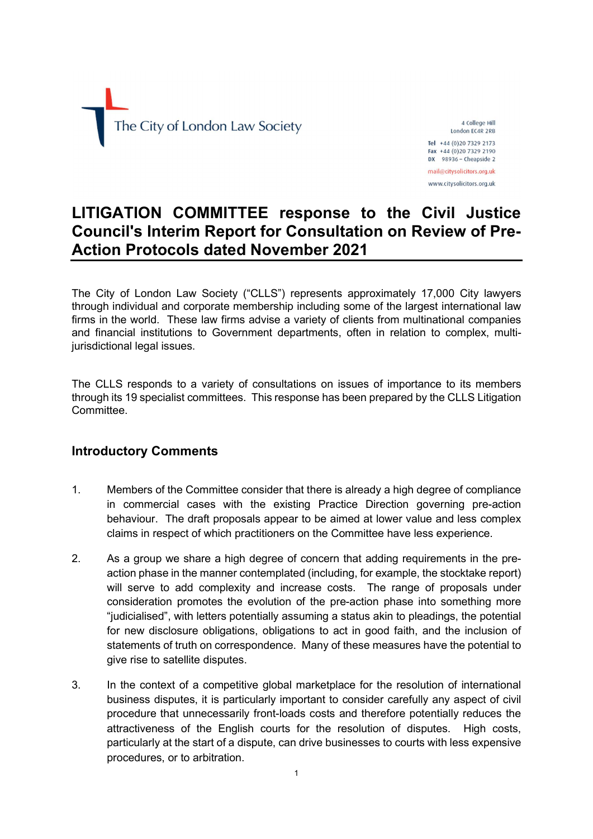

4 College Hill London EC4R 2RB Tel +44 (0)20 7329 2173 Fax +44 (0)20 7329 2190 DX 98936 - Cheapside 2

mail@citysolicitors.org.uk www.citysolicitors.org.uk

# LITIGATION COMMITTEE response to the Civil Justice Council's Interim Report for Consultation on Review of Pre-Action Protocols dated November 2021

The City of London Law Society ("CLLS") represents approximately 17,000 City lawyers through individual and corporate membership including some of the largest international law firms in the world. These law firms advise a variety of clients from multinational companies and financial institutions to Government departments, often in relation to complex, multijurisdictional legal issues.

The CLLS responds to a variety of consultations on issues of importance to its members through its 19 specialist committees. This response has been prepared by the CLLS Litigation Committee.

# Introductory Comments

- 1. Members of the Committee consider that there is already a high degree of compliance in commercial cases with the existing Practice Direction governing pre-action behaviour. The draft proposals appear to be aimed at lower value and less complex claims in respect of which practitioners on the Committee have less experience.
- 2. As a group we share a high degree of concern that adding requirements in the preaction phase in the manner contemplated (including, for example, the stocktake report) will serve to add complexity and increase costs. The range of proposals under consideration promotes the evolution of the pre-action phase into something more "judicialised", with letters potentially assuming a status akin to pleadings, the potential for new disclosure obligations, obligations to act in good faith, and the inclusion of statements of truth on correspondence. Many of these measures have the potential to give rise to satellite disputes.
- 3. In the context of a competitive global marketplace for the resolution of international business disputes, it is particularly important to consider carefully any aspect of civil procedure that unnecessarily front-loads costs and therefore potentially reduces the attractiveness of the English courts for the resolution of disputes. High costs, particularly at the start of a dispute, can drive businesses to courts with less expensive procedures, or to arbitration.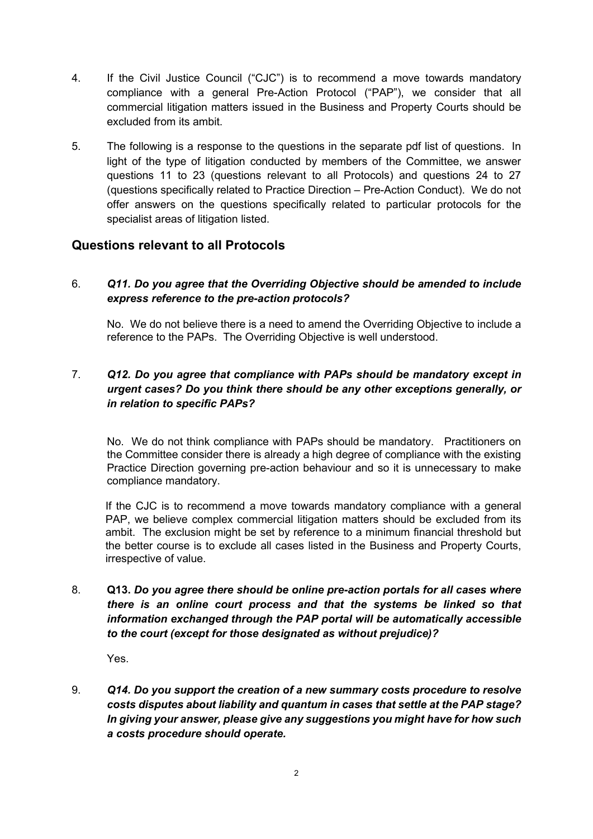- 4. If the Civil Justice Council ("CJC") is to recommend a move towards mandatory compliance with a general Pre-Action Protocol ("PAP"), we consider that all commercial litigation matters issued in the Business and Property Courts should be excluded from its ambit.
- 5. The following is a response to the questions in the separate pdf list of questions. In light of the type of litigation conducted by members of the Committee, we answer questions 11 to 23 (questions relevant to all Protocols) and questions 24 to 27 (questions specifically related to Practice Direction – Pre-Action Conduct). We do not offer answers on the questions specifically related to particular protocols for the specialist areas of litigation listed.

# Questions relevant to all Protocols

# 6. Q11. Do you agree that the Overriding Objective should be amended to include express reference to the pre-action protocols?

No. We do not believe there is a need to amend the Overriding Objective to include a reference to the PAPs. The Overriding Objective is well understood.

# 7. Q12. Do you agree that compliance with PAPs should be mandatory except in urgent cases? Do you think there should be any other exceptions generally, or in relation to specific PAPs?

No. We do not think compliance with PAPs should be mandatory. Practitioners on the Committee consider there is already a high degree of compliance with the existing Practice Direction governing pre-action behaviour and so it is unnecessary to make compliance mandatory.

If the CJC is to recommend a move towards mandatory compliance with a general PAP, we believe complex commercial litigation matters should be excluded from its ambit. The exclusion might be set by reference to a minimum financial threshold but the better course is to exclude all cases listed in the Business and Property Courts, irrespective of value.

8. Q13. Do you agree there should be online pre-action portals for all cases where there is an online court process and that the systems be linked so that information exchanged through the PAP portal will be automatically accessible to the court (except for those designated as without prejudice)?

Yes.

9. Q14. Do you support the creation of a new summary costs procedure to resolve costs disputes about liability and quantum in cases that settle at the PAP stage? In giving your answer, please give any suggestions you might have for how such a costs procedure should operate.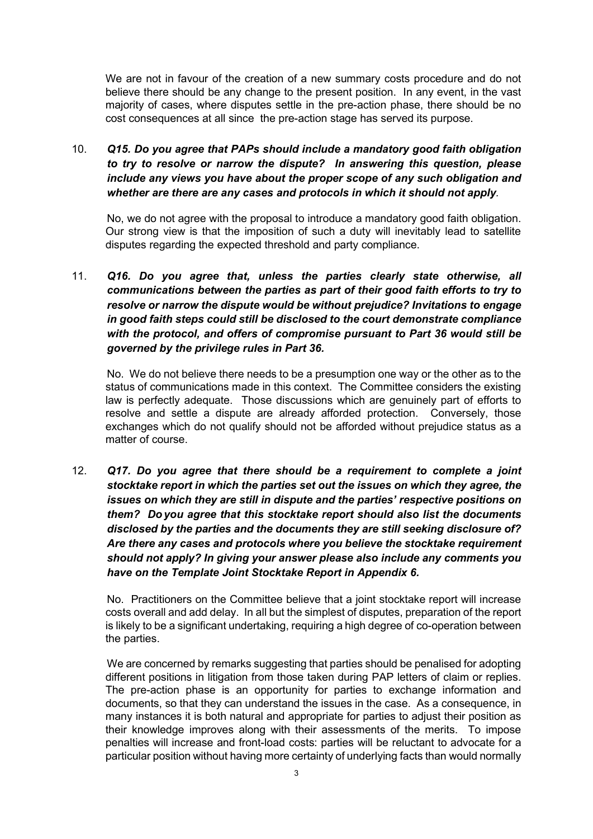We are not in favour of the creation of a new summary costs procedure and do not believe there should be any change to the present position. In any event, in the vast majority of cases, where disputes settle in the pre-action phase, there should be no cost consequences at all since the pre-action stage has served its purpose.

10. Q15. Do you agree that PAPs should include a mandatory good faith obligation to try to resolve or narrow the dispute? In answering this question, please include any views you have about the proper scope of any such obligation and whether are there are any cases and protocols in which it should not apply.

No, we do not agree with the proposal to introduce a mandatory good faith obligation. Our strong view is that the imposition of such a duty will inevitably lead to satellite disputes regarding the expected threshold and party compliance.

11. Q16. Do you agree that, unless the parties clearly state otherwise, all communications between the parties as part of their good faith efforts to try to resolve or narrow the dispute would be without prejudice? Invitations to engage in good faith steps could still be disclosed to the court demonstrate compliance with the protocol, and offers of compromise pursuant to Part 36 would still be governed by the privilege rules in Part 36.

No. We do not believe there needs to be a presumption one way or the other as to the status of communications made in this context. The Committee considers the existing law is perfectly adequate. Those discussions which are genuinely part of efforts to resolve and settle a dispute are already afforded protection. Conversely, those exchanges which do not qualify should not be afforded without prejudice status as a matter of course.

12. Q17. Do you agree that there should be a requirement to complete a joint stocktake report in which the parties set out the issues on which they agree, the issues on which they are still in dispute and the parties' respective positions on them? Do you agree that this stocktake report should also list the documents disclosed by the parties and the documents they are still seeking disclosure of? Are there any cases and protocols where you believe the stocktake requirement should not apply? In giving your answer please also include any comments you have on the Template Joint Stocktake Report in Appendix 6.

No. Practitioners on the Committee believe that a joint stocktake report will increase costs overall and add delay. In all but the simplest of disputes, preparation of the report is likely to be a significant undertaking, requiring a high degree of co-operation between the parties.

We are concerned by remarks suggesting that parties should be penalised for adopting different positions in litigation from those taken during PAP letters of claim or replies. The pre-action phase is an opportunity for parties to exchange information and documents, so that they can understand the issues in the case. As a consequence, in many instances it is both natural and appropriate for parties to adjust their position as their knowledge improves along with their assessments of the merits. To impose penalties will increase and front-load costs: parties will be reluctant to advocate for a particular position without having more certainty of underlying facts than would normally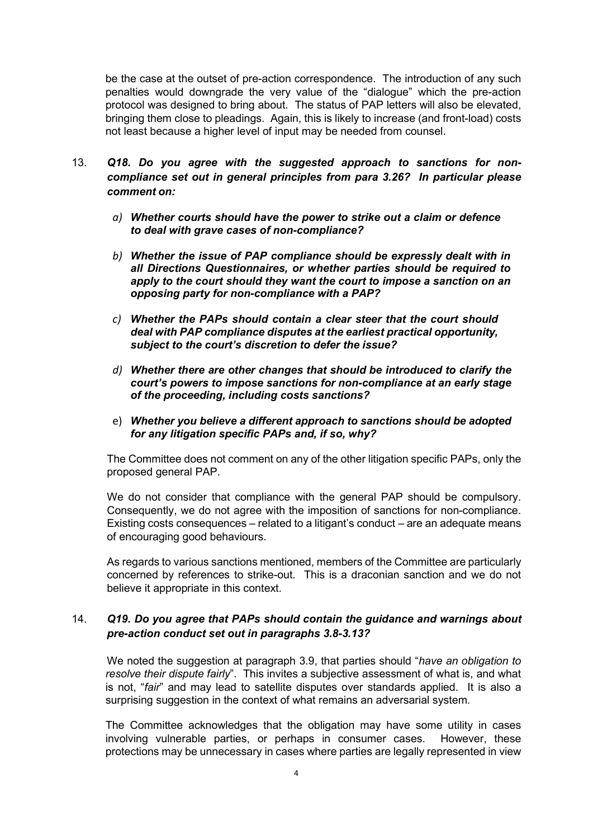be the case at the outset of pre-action correspondence. The introduction of any such penalties would downgrade the very value of the "dialogue" which the pre-action protocol was designed to bring about. The status of PAP letters will also be elevated, bringing them close to pleadings. Again, this is likely to increase (and front-load) costs not least because a higher level of input may be needed from counsel.

- 13. Q18. Do you agree with the suggested approach to sanctions for noncompliance set out in general principles from para 3.26? In particular please comment on:
	- a) Whether courts should have the power to strike out a claim or defence to deal with grave cases of non-compliance?
	- b) Whether the issue of PAP compliance should be expressly dealt with in all Directions Questionnaires, or whether parties should be required to apply to the court should they want the court to impose a sanction on an opposing party for non-compliance with a PAP?
	- c) Whether the PAPs should contain a clear steer that the court should deal with PAP compliance disputes at the earliest practical opportunity, subject to the court's discretion to defer the issue?
	- d) Whether there are other changes that should be introduced to clarify the court's powers to impose sanctions for non-compliance at an early stage of the proceeding, including costs sanctions?
	- e) Whether you believe a different approach to sanctions should be adopted for any litigation specific PAPs and, if so, why?

The Committee does not comment on any of the other litigation specific PAPs, only the proposed general PAP.

We do not consider that compliance with the general PAP should be compulsory. Consequently, we do not agree with the imposition of sanctions for non-compliance. Existing costs consequences – related to a litigant's conduct – are an adequate means of encouraging good behaviours.

As regards to various sanctions mentioned, members of the Committee are particularly concerned by references to strike-out. This is a draconian sanction and we do not believe it appropriate in this context.

#### 14. Q19. Do you agree that PAPs should contain the guidance and warnings about pre-action conduct set out in paragraphs 3.8-3.13?

We noted the suggestion at paragraph 3.9, that parties should "have an obligation to resolve their dispute fairly". This invites a subjective assessment of what is, and what is not, "fair" and may lead to satellite disputes over standards applied. It is also a surprising suggestion in the context of what remains an adversarial system.

The Committee acknowledges that the obligation may have some utility in cases involving vulnerable parties, or perhaps in consumer cases. However, these protections may be unnecessary in cases where parties are legally represented in view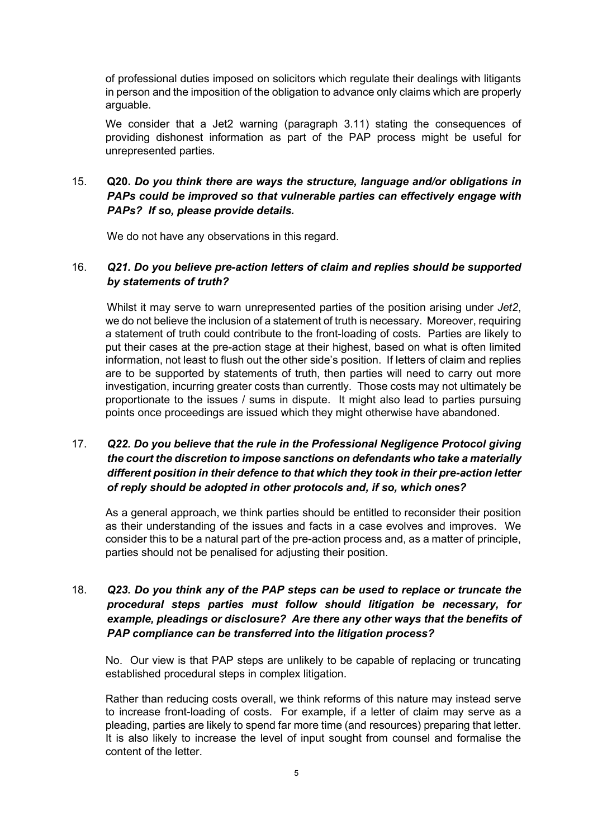of professional duties imposed on solicitors which regulate their dealings with litigants in person and the imposition of the obligation to advance only claims which are properly arguable.

We consider that a Jet2 warning (paragraph 3.11) stating the consequences of providing dishonest information as part of the PAP process might be useful for unrepresented parties.

### 15. Q20. Do you think there are ways the structure, language and/or obligations in PAPs could be improved so that vulnerable parties can effectively engage with PAPs? If so, please provide details.

We do not have any observations in this regard.

#### 16. Q21. Do you believe pre-action letters of claim and replies should be supported by statements of truth?

Whilst it may serve to warn unrepresented parties of the position arising under Jet2, we do not believe the inclusion of a statement of truth is necessary. Moreover, requiring a statement of truth could contribute to the front-loading of costs. Parties are likely to put their cases at the pre-action stage at their highest, based on what is often limited information, not least to flush out the other side's position. If letters of claim and replies are to be supported by statements of truth, then parties will need to carry out more investigation, incurring greater costs than currently. Those costs may not ultimately be proportionate to the issues / sums in dispute. It might also lead to parties pursuing points once proceedings are issued which they might otherwise have abandoned.

# 17. Q22. Do you believe that the rule in the Professional Negligence Protocol giving the court the discretion to impose sanctions on defendants who take a materially different position in their defence to that which they took in their pre-action letter of reply should be adopted in other protocols and, if so, which ones?

As a general approach, we think parties should be entitled to reconsider their position as their understanding of the issues and facts in a case evolves and improves. We consider this to be a natural part of the pre-action process and, as a matter of principle, parties should not be penalised for adjusting their position.

#### 18. Q23. Do you think any of the PAP steps can be used to replace or truncate the procedural steps parties must follow should litigation be necessary, for example, pleadings or disclosure? Are there any other ways that the benefits of PAP compliance can be transferred into the litigation process?

No. Our view is that PAP steps are unlikely to be capable of replacing or truncating established procedural steps in complex litigation.

Rather than reducing costs overall, we think reforms of this nature may instead serve to increase front-loading of costs. For example, if a letter of claim may serve as a pleading, parties are likely to spend far more time (and resources) preparing that letter. It is also likely to increase the level of input sought from counsel and formalise the content of the letter.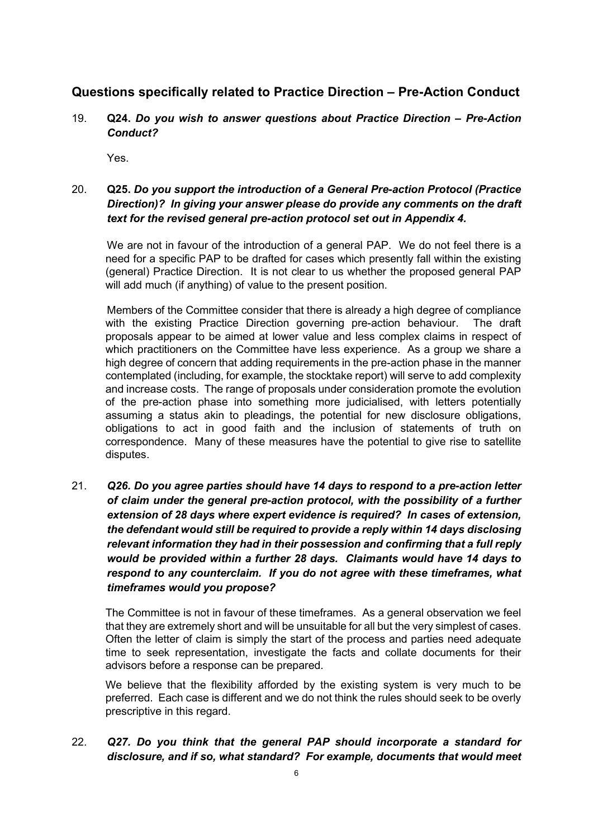# Questions specifically related to Practice Direction – Pre-Action Conduct

19. Q24. Do you wish to answer questions about Practice Direction – Pre-Action Conduct?

Yes.

## 20. Q25. Do you support the introduction of a General Pre-action Protocol (Practice Direction)? In giving your answer please do provide any comments on the draft text for the revised general pre-action protocol set out in Appendix 4.

We are not in favour of the introduction of a general PAP. We do not feel there is a need for a specific PAP to be drafted for cases which presently fall within the existing (general) Practice Direction. It is not clear to us whether the proposed general PAP will add much (if anything) of value to the present position.

Members of the Committee consider that there is already a high degree of compliance with the existing Practice Direction governing pre-action behaviour. The draft proposals appear to be aimed at lower value and less complex claims in respect of which practitioners on the Committee have less experience. As a group we share a high degree of concern that adding requirements in the pre-action phase in the manner contemplated (including, for example, the stocktake report) will serve to add complexity and increase costs. The range of proposals under consideration promote the evolution of the pre-action phase into something more judicialised, with letters potentially assuming a status akin to pleadings, the potential for new disclosure obligations, obligations to act in good faith and the inclusion of statements of truth on correspondence. Many of these measures have the potential to give rise to satellite disputes.

21. Q26. Do you agree parties should have 14 days to respond to a pre-action letter of claim under the general pre-action protocol, with the possibility of a further extension of 28 days where expert evidence is required? In cases of extension, the defendant would still be required to provide a reply within 14 days disclosing relevant information they had in their possession and confirming that a full reply would be provided within a further 28 days. Claimants would have 14 days to respond to any counterclaim. If you do not agree with these timeframes, what timeframes would you propose?

The Committee is not in favour of these timeframes. As a general observation we feel that they are extremely short and will be unsuitable for all but the very simplest of cases. Often the letter of claim is simply the start of the process and parties need adequate time to seek representation, investigate the facts and collate documents for their advisors before a response can be prepared.

We believe that the flexibility afforded by the existing system is very much to be preferred. Each case is different and we do not think the rules should seek to be overly prescriptive in this regard.

22. Q27. Do you think that the general PAP should incorporate a standard for disclosure, and if so, what standard? For example, documents that would meet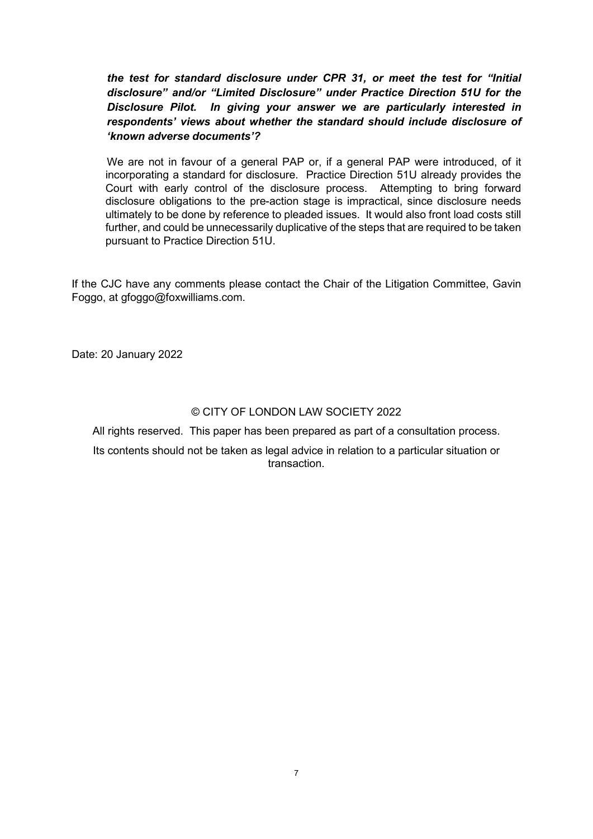the test for standard disclosure under CPR 31, or meet the test for "Initial disclosure" and/or "Limited Disclosure" under Practice Direction 51U for the Disclosure Pilot. In giving your answer we are particularly interested in respondents' views about whether the standard should include disclosure of 'known adverse documents'?

We are not in favour of a general PAP or, if a general PAP were introduced, of it incorporating a standard for disclosure. Practice Direction 51U already provides the Court with early control of the disclosure process. Attempting to bring forward disclosure obligations to the pre-action stage is impractical, since disclosure needs ultimately to be done by reference to pleaded issues. It would also front load costs still further, and could be unnecessarily duplicative of the steps that are required to be taken pursuant to Practice Direction 51U.

If the CJC have any comments please contact the Chair of the Litigation Committee, Gavin Foggo, at gfoggo@foxwilliams.com.

Date: 20 January 2022

#### © CITY OF LONDON LAW SOCIETY 2022

All rights reserved. This paper has been prepared as part of a consultation process.

Its contents should not be taken as legal advice in relation to a particular situation or transaction.